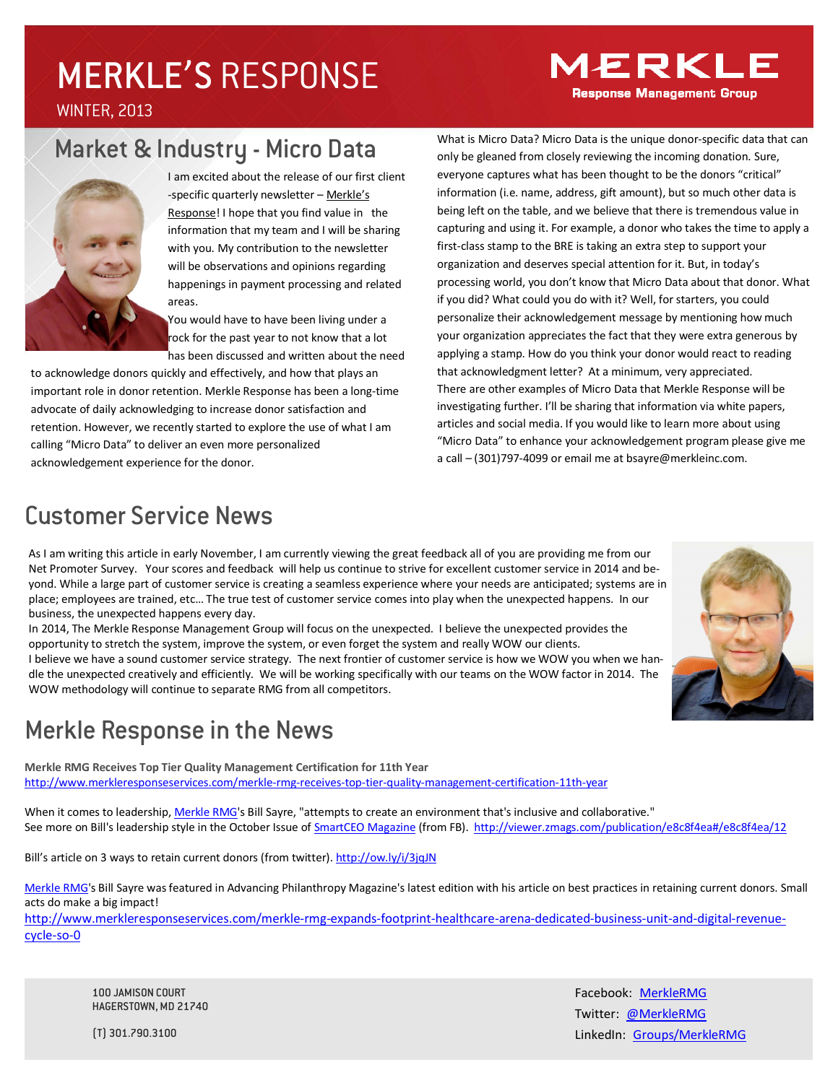# MERKLE'S RESPONSE

**MERKLE Response Management Group** 

WINTER, 2013

## Market & Industry - Micro Data



I am excited about the release of our first client -specific quarterly newsletter - Merkle's Response! I hope that you find value in the information that my team and I will be sharing with you. My contribution to the newsletter will be observations and opinions regarding happenings in payment processing and related areas.

You would have to have been living under a rock for the past year to not know that a lot has been discussed and written about the need

to acknowledge donors quickly and effectively, and how that plays an important role in donor retention. Merkle Response has been a long-time advocate of daily acknowledging to increase donor satisfaction and retention. However, we recently started to explore the use of what I am calling "Micro Data" to deliver an even more personalized acknowledgement experience for the donor.

What is Micro Data? Micro Data is the unique donor-specific data that can only be gleaned from closely reviewing the incoming donation. Sure, everyone captures what has been thought to be the donors "critical" information (i.e. name, address, gift amount), but so much other data is being left on the table, and we believe that there is tremendous value in capturing and using it. For example, a donor who takes the time to apply a first-class stamp to the BRE is taking an extra step to support your organization and deserves special attention for it. But, in today's processing world, you don't know that Micro Data about that donor. What if you did? What could you do with it? Well, for starters, you could personalize their acknowledgement message by mentioning how much your organization appreciates the fact that they were extra generous by applying a stamp. How do you think your donor would react to reading that acknowledgment letter? At a minimum, very appreciated. There are other examples of Micro Data that Merkle Response will be investigating further. I'll be sharing that information via white papers, articles and social media. If you would like to learn more about using "Micro Data" to enhance your acknowledgement program please give me a call – (301)797-4099 or email me at bsayre@merkleinc.com.

## Customer Service News

As I am writing this article in early November, I am currently viewing the great feedback all of you are providing me from our Net Promoter Survey. Your scores and feedback will help us continue to strive for excellent customer service in 2014 and beyond. While a large part of customer service is creating a seamless experience where your needs are anticipated; systems are in place; employees are trained, etc… The true test of customer service comes into play when the unexpected happens. In our business, the unexpected happens every day.

In 2014, The Merkle Response Management Group will focus on the unexpected. I believe the unexpected provides the opportunity to stretch the system, improve the system, or even forget the system and really WOW our clients. I believe we have a sound customer service strategy. The next frontier of customer service is how we WOW you when we handle the unexpected creatively and efficiently. We will be working specifically with our teams on the WOW factor in 2014. The

## Merkle Response in the News

WOW methodology will continue to separate RMG from all competitors.

**Merkle RMG Receives Top Tier Quality Management Certification for 11th Year** http://www.merkleresponseservices.com/merkle-rmg-receives-top-tier-quality-management-certification-11th-year

When it comes to leadership, Merkle RMG's Bill Sayre, "attempts to create an environment that's inclusive and collaborative." See more on Bill's leadership style in the October Issue of SmartCEO Magazine (from FB). http://viewer.zmags.com/publication/e8c8f4ea#/e8c8f4ea/12

Bill's article on 3 ways to retain current donors (from twitter). http://ow.ly/i/3jqJN

Merkle RMG's Bill Sayre was featured in Advancing Philanthropy Magazine's latest edition with his article on best practices in retaining current donors. Small acts do make a big impact!

http://www.merkleresponseservices.com/merkle-rmg-expands-footprint-healthcare-arena-dedicated-business-unit-and-digital-revenuecycle-so-0

100 JAMISON COURT HAGERSTOWN, MD 21740

Facebook: MerkleRMG Twitter: @MerkleRMG LinkedIn: Groups/MerkleRMG



(T) 301.790.3100